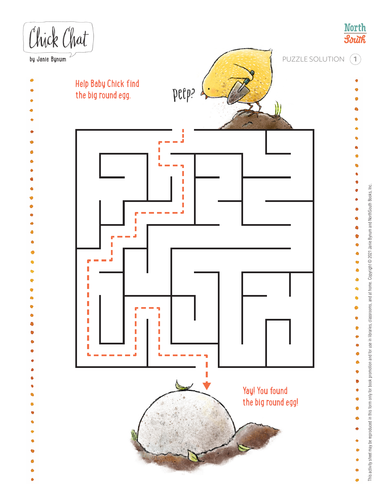

This activity sheet may be reproduced in this form only for book promotion and for use in libraries, classrooms, and at home. Copyright © 2021 Janie Bynum and NorthSouth Books, Inc. This activity sheet may be reproduced in this form only for book promotion and for use in libraries, classrooms, and at home. Copyright © 2021 Janie Bynum and NorthSouth Books, Inc.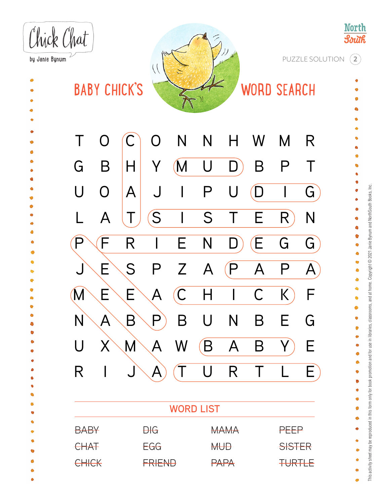**North** Chick Chat **South** PUZZLE SOLUTION **2**by Janie Bynum  $\setminus$ **BABY CHICK'S WORD SEARCH**  $\ddot{\bullet}$ T O C O N N H W M R G B H Y (M U D) B P T Ġ U O A J I P U D I G L A T (S I S T E R) N  $P \setminus F$  R I E N D) $(E$  G G J E S P Z A P A P A à  $M \ E \ E \ A \ C \ H \ I \ C \ K) F$  $N \backslash A \backslash B \backslash P$  B U N B E G U X M A W (B A B Y) E R I J\A) (T U R T L E  $\bullet$ Ċ **WORD LIST**  $M_{\odot}$ MAMA **BABY DIG** PEEP **CHAT** EGG **MUD SISTER** DIG  $\overline{M}$  $\overline{P}$ **CHICK** FRIEND PAPA **TURTLE**  $\bullet$ 

This activity sheet may be reproduced in this form only for book promotion and for use in libraries, classrooms, and at home. Copyright © 2021 Janie Bynum and NorthSouth Books, Inc. This adivity sheet may be reproduced in this form only for book promotion and for use in libraries, classrooms, and at home. Copyright © 2021 Janie Bynum and NorthSouth Books, Inc.